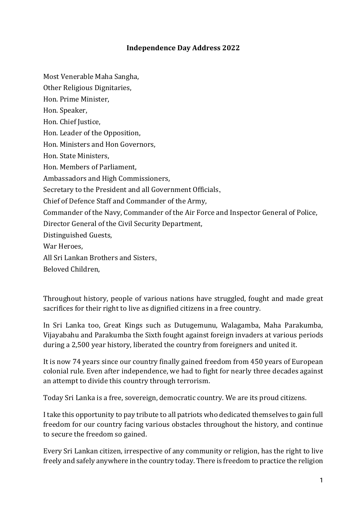## **Independence Day Address 2022**

Most Venerable Maha Sangha,

Other Religious Dignitaries,

Hon. Prime Minister,

Hon. Speaker,

Hon. Chief Justice,

Hon. Leader of the Opposition,

Hon. Ministers and Hon Governors,

Hon. State Ministers,

Hon. Members of Parliament,

Ambassadors and High Commissioners,

Secretary to the President and all Government Officials,

Chief of Defence Staff and Commander of the Army,

Commander of the Navy, Commander of the Air Force and Inspector General of Police,

Director General of the Civil Security Department,

Distinguished Guests,

War Heroes,

All Sri Lankan Brothers and Sisters,

Beloved Children,

Throughout history, people of various nations have struggled, fought and made great sacrifices for their right to live as dignified citizens in a free country.

In Sri Lanka too, Great Kings such as Dutugemunu, Walagamba, Maha Parakumba, Vijayabahu and Parakumba the Sixth fought against foreign invaders at various periods during a 2,500 year history, liberated the country from foreigners and united it.

It is now 74 years since our country finally gained freedom from 450 years of European colonial rule. Even after independence, we had to fight for nearly three decades against an attempt to divide this country through terrorism.

Today Sri Lanka is a free, sovereign, democratic country. We are its proud citizens.

I take this opportunity to pay tribute to all patriots who dedicated themselves to gain full freedom for our country facing various obstacles throughout the history, and continue to secure the freedom so gained.

Every Sri Lankan citizen, irrespective of any community or religion, has the right to live freely and safely anywhere in the country today. There is freedom to practice the religion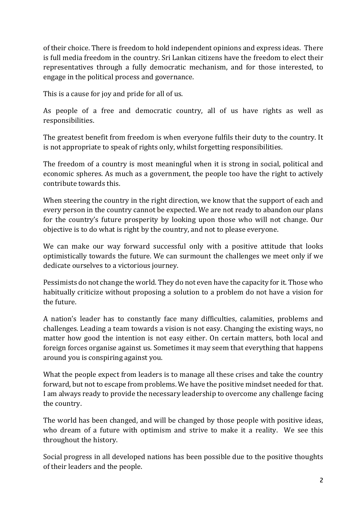of their choice. There is freedom to hold independent opinions and express ideas. There is full media freedom in the country. Sri Lankan citizens have the freedom to elect their representatives through a fully democratic mechanism, and for those interested, to engage in the political process and governance.

This is a cause for joy and pride for all of us.

As people of a free and democratic country, all of us have rights as well as responsibilities.

The greatest benefit from freedom is when everyone fulfils their duty to the country. It is not appropriate to speak of rights only, whilst forgetting responsibilities.

The freedom of a country is most meaningful when it is strong in social, political and economic spheres. As much as a government, the people too have the right to actively contribute towards this.

When steering the country in the right direction, we know that the support of each and every person in the country cannot be expected. We are not ready to abandon our plans for the country's future prosperity by looking upon those who will not change. Our objective is to do what is right by the country, and not to please everyone.

We can make our way forward successful only with a positive attitude that looks optimistically towards the future. We can surmount the challenges we meet only if we dedicate ourselves to a victorious journey.

Pessimists do not change the world. They do not even have the capacity for it. Those who habitually criticize without proposing a solution to a problem do not have a vision for the future.

A nation's leader has to constantly face many difficulties, calamities, problems and challenges. Leading a team towards a vision is not easy. Changing the existing ways, no matter how good the intention is not easy either. On certain matters, both local and foreign forces organise against us. Sometimes it may seem that everything that happens around you is conspiring against you.

What the people expect from leaders is to manage all these crises and take the country forward, but not to escape from problems. We have the positive mindset needed for that. I am always ready to provide the necessary leadership to overcome any challenge facing the country.

The world has been changed, and will be changed by those people with positive ideas, who dream of a future with optimism and strive to make it a reality. We see this throughout the history.

Social progress in all developed nations has been possible due to the positive thoughts of their leaders and the people.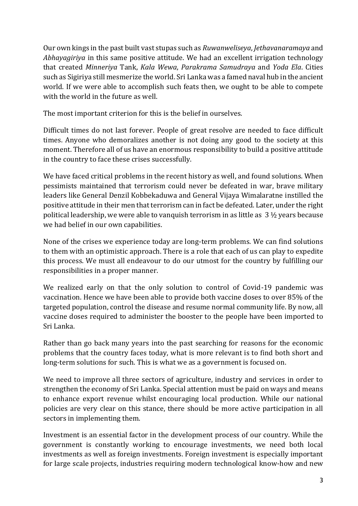Our own kings in the past built vast stupas such as *Ruwanweliseya*, *Jethavanaramaya* and *Abhayagiriya* in this same positive attitude. We had an excellent irrigation technology that created *Minneriya* Tank, *Kala Wewa*, *Parakrama Samudraya* and *Yoda Ela*. Cities such as Sigiriya still mesmerize the world. Sri Lanka was a famed naval hub in the ancient world. If we were able to accomplish such feats then, we ought to be able to compete with the world in the future as well.

The most important criterion for this is the belief in ourselves.

Difficult times do not last forever. People of great resolve are needed to face difficult times. Anyone who demoralizes another is not doing any good to the society at this moment. Therefore all of us have an enormous responsibility to build a positive attitude in the country to face these crises successfully.

We have faced critical problems in the recent history as well, and found solutions. When pessimists maintained that terrorism could never be defeated in war, brave military leaders like General Denzil Kobbekaduwa and General Vijaya Wimalaratne instilled the positive attitude in their men that terrorism can in fact be defeated. Later, under the right political leadership, we were able to vanquish terrorism in as little as 3 ½ years because we had belief in our own capabilities.

None of the crises we experience today are long-term problems. We can find solutions to them with an optimistic approach. There is a role that each of us can play to expedite this process. We must all endeavour to do our utmost for the country by fulfilling our responsibilities in a proper manner.

We realized early on that the only solution to control of Covid-19 pandemic was vaccination. Hence we have been able to provide both vaccine doses to over 85% of the targeted population, control the disease and resume normal community life. By now, all vaccine doses required to administer the booster to the people have been imported to Sri Lanka.

Rather than go back many years into the past searching for reasons for the economic problems that the country faces today, what is more relevant is to find both short and long-term solutions for such. This is what we as a government is focused on.

We need to improve all three sectors of agriculture, industry and services in order to strengthen the economy of Sri Lanka. Special attention must be paid on ways and means to enhance export revenue whilst encouraging local production. While our national policies are very clear on this stance, there should be more active participation in all sectors in implementing them.

Investment is an essential factor in the development process of our country. While the government is constantly working to encourage investments, we need both local investments as well as foreign investments. Foreign investment is especially important for large scale projects, industries requiring modern technological know-how and new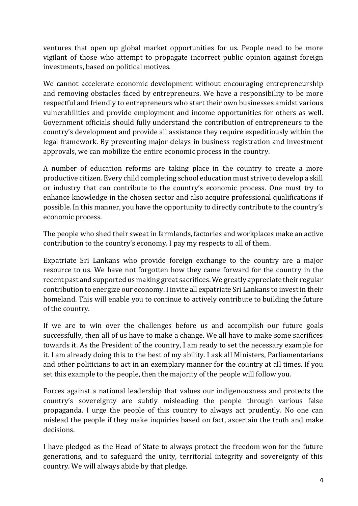ventures that open up global market opportunities for us. People need to be more vigilant of those who attempt to propagate incorrect public opinion against foreign investments, based on political motives.

We cannot accelerate economic development without encouraging entrepreneurship and removing obstacles faced by entrepreneurs. We have a responsibility to be more respectful and friendly to entrepreneurs who start their own businesses amidst various vulnerabilities and provide employment and income opportunities for others as well. Government officials should fully understand the contribution of entrepreneurs to the country's development and provide all assistance they require expeditiously within the legal framework. By preventing major delays in business registration and investment approvals, we can mobilize the entire economic process in the country.

A number of education reforms are taking place in the country to create a more productive citizen. Every child completing school education must strive to develop a skill or industry that can contribute to the country's economic process. One must try to enhance knowledge in the chosen sector and also acquire professional qualifications if possible. In this manner, you have the opportunity to directly contribute to the country's economic process.

The people who shed their sweat in farmlands, factories and workplaces make an active contribution to the country's economy. I pay my respects to all of them.

Expatriate Sri Lankans who provide foreign exchange to the country are a major resource to us. We have not forgotten how they came forward for the country in the recent past and supported us making great sacrifices. We greatly appreciate their regular contribution to energize our economy. I invite all expatriate Sri Lankans to invest in their homeland. This will enable you to continue to actively contribute to building the future of the country.

If we are to win over the challenges before us and accomplish our future goals successfully, then all of us have to make a change. We all have to make some sacrifices towards it. As the President of the country, I am ready to set the necessary example for it. I am already doing this to the best of my ability. I ask all Ministers, Parliamentarians and other politicians to act in an exemplary manner for the country at all times. If you set this example to the people, then the majority of the people will follow you.

Forces against a national leadership that values our indigenousness and protects the country's sovereignty are subtly misleading the people through various false propaganda. I urge the people of this country to always act prudently. No one can mislead the people if they make inquiries based on fact, ascertain the truth and make decisions.

I have pledged as the Head of State to always protect the freedom won for the future generations, and to safeguard the unity, territorial integrity and sovereignty of this country. We will always abide by that pledge.